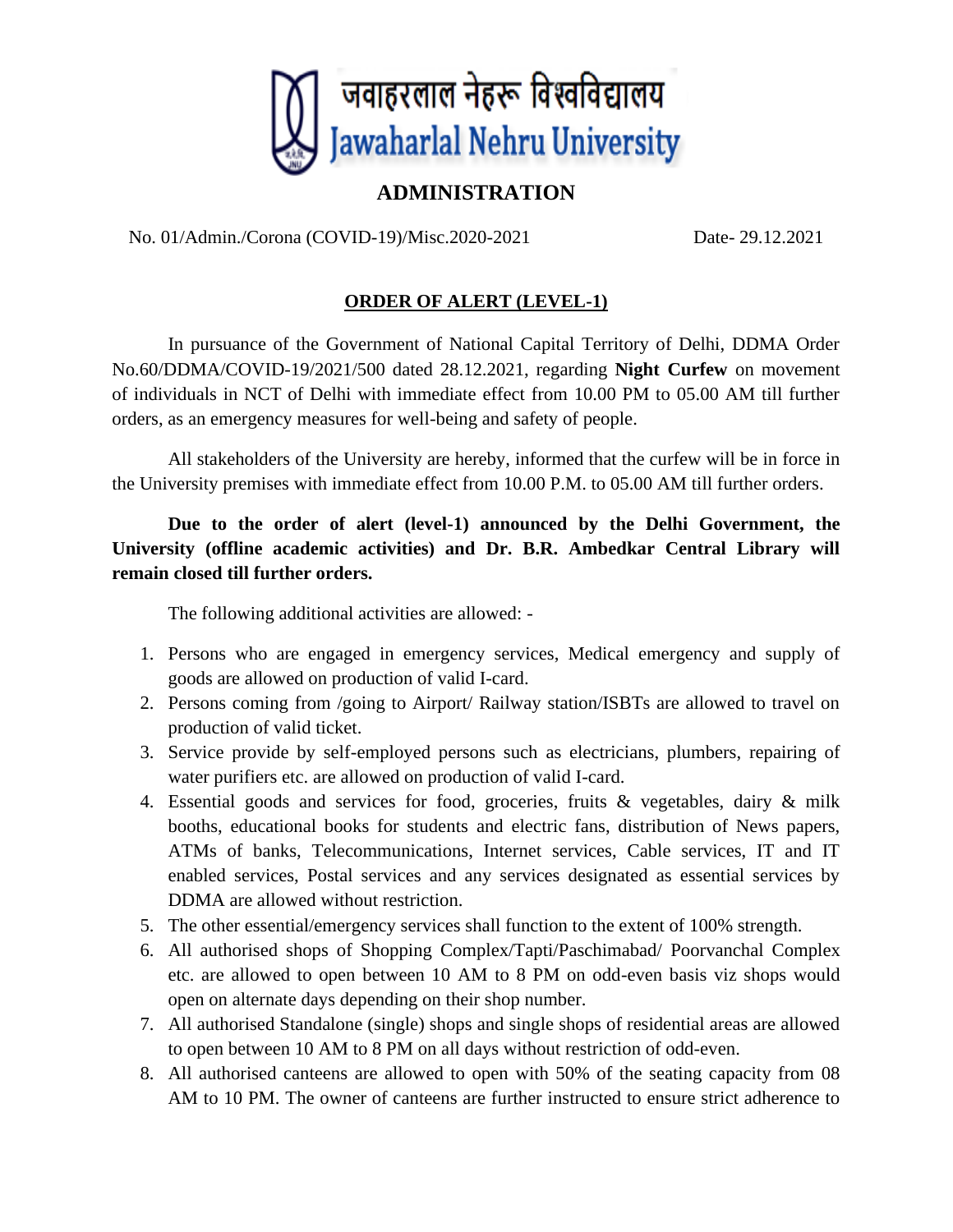

## **ADMINISTRATION**

No. 01/Admin./Corona (COVID-19)/Misc.2020-2021 Date- 29.12.2021

## **ORDER OF ALERT (LEVEL-1)**

In pursuance of the Government of National Capital Territory of Delhi, DDMA Order No.60/DDMA/COVID-19/2021/500 dated 28.12.2021, regarding **Night Curfew** on movement of individuals in NCT of Delhi with immediate effect from 10.00 PM to 05.00 AM till further orders, as an emergency measures for well-being and safety of people.

All stakeholders of the University are hereby, informed that the curfew will be in force in the University premises with immediate effect from 10.00 P.M. to 05.00 AM till further orders.

**Due to the order of alert (level-1) announced by the Delhi Government, the University (offline academic activities) and Dr. B.R. Ambedkar Central Library will remain closed till further orders.**

The following additional activities are allowed: -

- 1. Persons who are engaged in emergency services, Medical emergency and supply of goods are allowed on production of valid I-card.
- 2. Persons coming from /going to Airport/ Railway station/ISBTs are allowed to travel on production of valid ticket.
- 3. Service provide by self-employed persons such as electricians, plumbers, repairing of water purifiers etc. are allowed on production of valid I-card.
- 4. Essential goods and services for food, groceries, fruits & vegetables, dairy & milk booths, educational books for students and electric fans, distribution of News papers, ATMs of banks, Telecommunications, Internet services, Cable services, IT and IT enabled services, Postal services and any services designated as essential services by DDMA are allowed without restriction.
- 5. The other essential/emergency services shall function to the extent of 100% strength.
- 6. All authorised shops of Shopping Complex/Tapti/Paschimabad/ Poorvanchal Complex etc. are allowed to open between 10 AM to 8 PM on odd-even basis viz shops would open on alternate days depending on their shop number.
- 7. All authorised Standalone (single) shops and single shops of residential areas are allowed to open between 10 AM to 8 PM on all days without restriction of odd-even.
- 8. All authorised canteens are allowed to open with 50% of the seating capacity from 08 AM to 10 PM. The owner of canteens are further instructed to ensure strict adherence to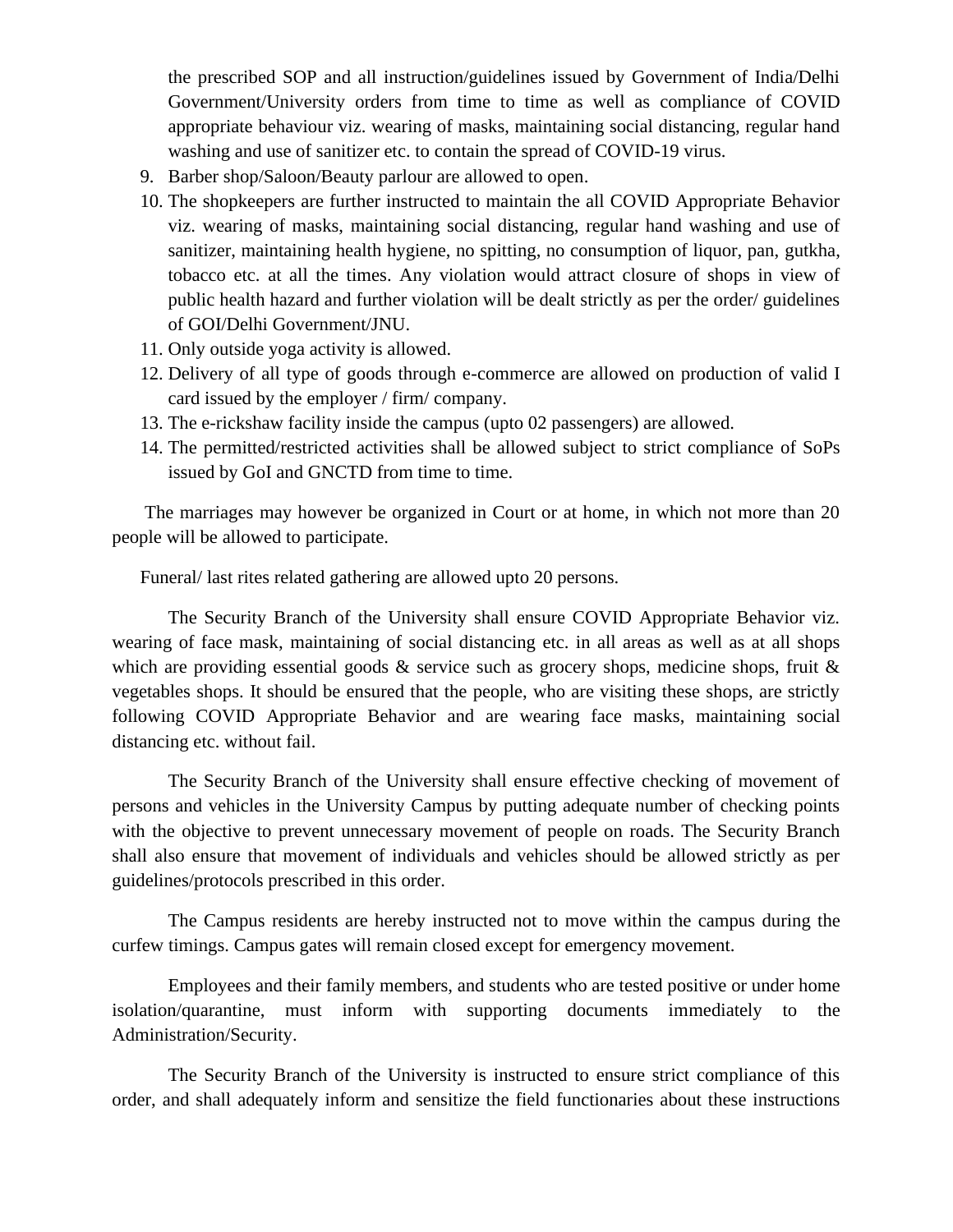the prescribed SOP and all instruction/guidelines issued by Government of India/Delhi Government/University orders from time to time as well as compliance of COVID appropriate behaviour viz. wearing of masks, maintaining social distancing, regular hand washing and use of sanitizer etc. to contain the spread of COVID-19 virus.

- 9. Barber shop/Saloon/Beauty parlour are allowed to open.
- 10. The shopkeepers are further instructed to maintain the all COVID Appropriate Behavior viz. wearing of masks, maintaining social distancing, regular hand washing and use of sanitizer, maintaining health hygiene, no spitting, no consumption of liquor, pan, gutkha, tobacco etc. at all the times. Any violation would attract closure of shops in view of public health hazard and further violation will be dealt strictly as per the order/ guidelines of GOI/Delhi Government/JNU.
- 11. Only outside yoga activity is allowed.
- 12. Delivery of all type of goods through e-commerce are allowed on production of valid I card issued by the employer / firm/ company.
- 13. The e-rickshaw facility inside the campus (upto 02 passengers) are allowed.
- 14. The permitted/restricted activities shall be allowed subject to strict compliance of SoPs issued by GoI and GNCTD from time to time.

The marriages may however be organized in Court or at home, in which not more than 20 people will be allowed to participate.

Funeral/ last rites related gathering are allowed upto 20 persons.

The Security Branch of the University shall ensure COVID Appropriate Behavior viz. wearing of face mask, maintaining of social distancing etc. in all areas as well as at all shops which are providing essential goods  $\&$  service such as grocery shops, medicine shops, fruit  $\&$ vegetables shops. It should be ensured that the people, who are visiting these shops, are strictly following COVID Appropriate Behavior and are wearing face masks, maintaining social distancing etc. without fail.

The Security Branch of the University shall ensure effective checking of movement of persons and vehicles in the University Campus by putting adequate number of checking points with the objective to prevent unnecessary movement of people on roads. The Security Branch shall also ensure that movement of individuals and vehicles should be allowed strictly as per guidelines/protocols prescribed in this order.

The Campus residents are hereby instructed not to move within the campus during the curfew timings. Campus gates will remain closed except for emergency movement.

Employees and their family members, and students who are tested positive or under home isolation/quarantine, must inform with supporting documents immediately to the Administration/Security.

The Security Branch of the University is instructed to ensure strict compliance of this order, and shall adequately inform and sensitize the field functionaries about these instructions